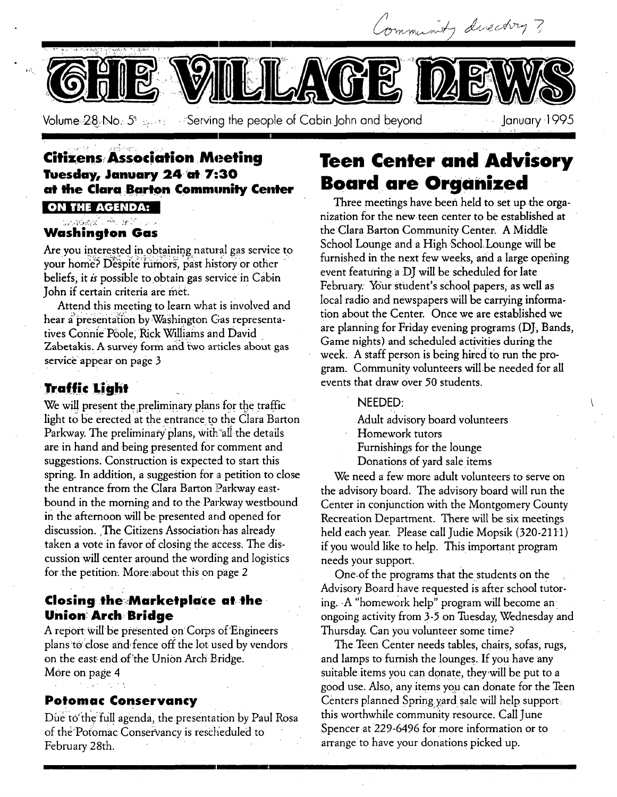/-

Volume:28::No.: 5\* **Except Following the people of Cabin John and beyond January 1995** 

# **Citizens Association Meeting Tuesday, January. 24-'at-7:30**  at the Clara Barton Community Center

**ON THE AGENDA:** . . L

#### హహుత్తున్న తాంతోని సంస **Washington Gas**

Are you interested in obtaining natural gas service to your home? Despite rumors, past history or other beliefs, it  $\dot{\textit{i}}$  possible to obtain gas service in Cabin John if certain criteria are met.

Attend this meeting to learn what is involved and hear a presentation by Washington Gas representatives Connie Poole, Rick Williams and David Zabetakis. A survey form and two articles about gas service appear on page 3

# **Traffic Light**

We will present the preliminary plans for the traffic light to be erected at the entrance to the Clara Barton Parkway. The preliminary plans, with all the details are in hand and being presented for comment and suggestions. Construction is expected to start this spring. In addition, a suggestion for a petition to close the entrance from the Clara Barton Parkway eastbound in the morning and to the Parkway westbound in the afternoon will be: presented and opened for discussion. The Citizens Association-has already taken a vote in favor of closing the access. The discussion will center around the wording and logistics for the petition. More about this on page 2

# **Closing the Marketplace at the Union!Arch; Bridge**

A report-will be presented on Corps of Engineers plans to close and fence off the lot used by vendors on the east end of the Union Arch Bridge. More on page 4

### **Potomac Conservancy**

Due to the full agenda, the presentation by Paul Rosa of the Potomac Conservancy is rescheduled to February 28th.

# **Teen Center and Advisory Board are Organized**

,4,

Three meetings have been held to set up the organization for the newteen center to be established at the Clara Barton Community Center. A Middle School Lounge and a High School, Lounge will be furnished in the next few weeks, and a large opening event featuringa DJ will be scheduled for late February. Your student's school papers, as well as local radio and newspapers will be carrying information about the Center. Once we are established we are planning for Friday evening programs (DJ, Bands, Game nights) and scheduled activities during the week. A staff person is being hired't0 run the program. Community volunteers will be needed for all events that draw over 50 students.

### NEEDED:

Adult advisory board volunteers

- Homework tutors
- Furnishings for the lounge
- Donations of yard sale items

We need a few more adult volunteers to serve on the advisory board. The advisory board will run the Center in conjunction With the Montgomery County Recreation Department. There will be six meetings held each year. Please call Judie Mopsik (320-2111) if you would like to help. This important program needs your support.

One-of the programs that the students on the Advisory *Board* have requested is after school tutoring. • A "homework help" program will become an' ongoing activity from 3-5 on Tuesday, Wednesday and Thursday. Can you volunteer some time?

The Teen Center needs tables, chairs, sofas, rugs, and lamps to furnish the lounges. If you have any suitable items you can donate, they will be put to a good use. Also, any items you can donate for the Teen Centers planned Spring yard sale will help supports this worthwhile community resource. Call June Spencer at 229-6496 for more information or to arrange to have your donations picked up.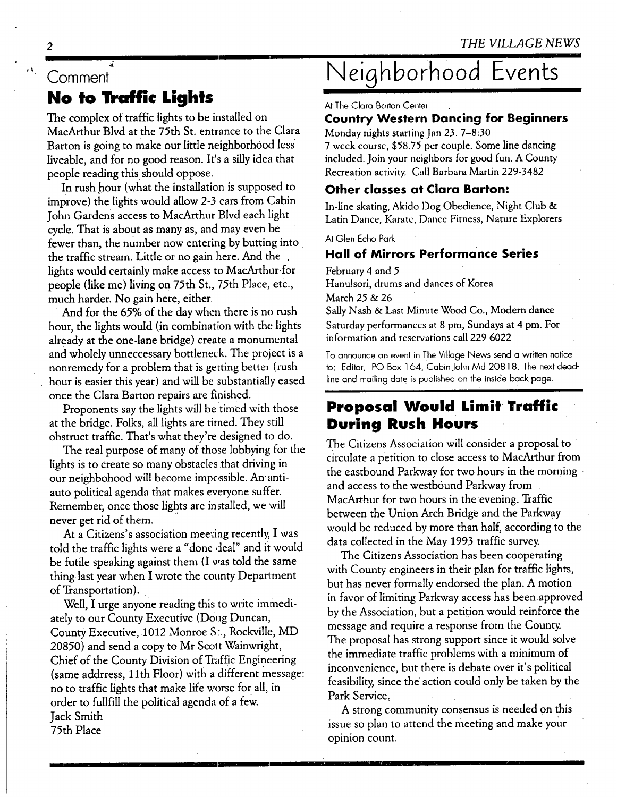# **Comment No to Traffic Lights**

The complex of traffic lights to be installed on MacArthur Blvd at the 75th St. entrance to the Clara Barton is going to make our little neighborhood less liveable, and for no good reason. It's a silly idea that people reading this should **oppose.** 

In rush hour (what the installation is supposed to improve) the lights would allow 2-3 cars from Cabin John Gardens access to MacArthur Blyd each light cycle. That is about as many as, and may even be fewer than, the number now entering by butting into the traffic stream. Little or no gain here. And the . lights would certainly make access to MacArthur for people (like me) living on 75th St., 75th Place, etc., much harder. No gain here, either.

And for the 65% of the day when there is no rush hour, the lights would (in combination with the lights already at the one-lane bridge) create a monumental and wholely unneccessary bottleneck. The project is a nonremedy for a problem that is getting better (rush hour is easier this year) and will be substantially eased once the Clara Barton repairs are finished.

Proponents say the lights will be timed with those at the bridge. Folks, all lights are timed. They still obstruct traffic. That's what they're designed to do.

The real purpose of many of those lobbying for the lights is to create so many obstacles that driving in our neighbohood will become impossible. An • antiauto political agenda that makes everyone suffer. Remember, once those lights are installed, we will never get rid of them.

At a Citizens's association meeting recently, I was told the traffic lights were a "done deal" and it would be futile speaking against them (I was told the same thing last year when I wrote the county Department of Transportation).

Well, I urge anyone reading this to write immediately to our County Executive (Doug Duncan, County Executive, 1012 Monroe St., Rockville, MD 20850) and send a copy to Mr Scott Wainwright, Chief of the County Division of Traffic Engineering (same addrress, 1 lth Floor) with a different message: no to traffic lights that make life worse for all, in order to fullfiU the political agenda of a few. Jack Smith 75th Place

# **Neiqhborhoo8 Events**

At The Clara Barton Center

### **Country Western Dancing for Beginners**

Monday nights starting Jan 23, 7-8:30

7 week course, \$58.75 per couple. Some line dancing included. Join your neighbors for good fun. A County Recreation activity. Call Barbara Martin 229-3482

## **Other classes at Clara Barton:**

In-line skating, Akido Dog Obedience, Night Club & Latin Dance, Karate, Dance Fitness, Nature Explorers

At Glen Echo Park

### **Hall of Mirrors Performance Series**

February 4 and 5 Hanulsori, drums and dances of Korea March 25 & 26 Sally Nash & Last Minute Wood Co., Modern dance Saturday performances at 8 pm, Sundays at 4 pm. For information and reservations call 229 6022

To announce an evenl in The Village News send a written notice **to:** Editor, PO Box 164, Cabin John Md 20818. The next deadline and mailing date is published on the inside back page.

# **Proposal Would Limit Traffic During Rush Hours**

The Citizens Association will consider a proposal to circulate a petition to close access to MacArthur from the eastbound Parkway for two hours in the morning and access to the westbound Parkway from MacArthur for two hours in the evening. Traffic between the Union Arch Bridge and the Parkway would be reduced by more than half, according to the data collected in the May 1993 traffic survey.

The Citizens Association has been cooperating with County engineers in their plan for traffic lights, but has never formally endorsed the plan. A motion in favor of limiting Parkway access has been approved by the Association, but a petition would reinforce the message and require a response from the County. The proposal has strong support since it would solve the immediate traffic problems with a minimum of inconvenience, but there is debate over it's political feasibility, since the action could only be taken by the Park Service,

A strong community consensus is needed on this issue so plan to attend the meeting and make your opinion count.

 $\mathfrak{p}$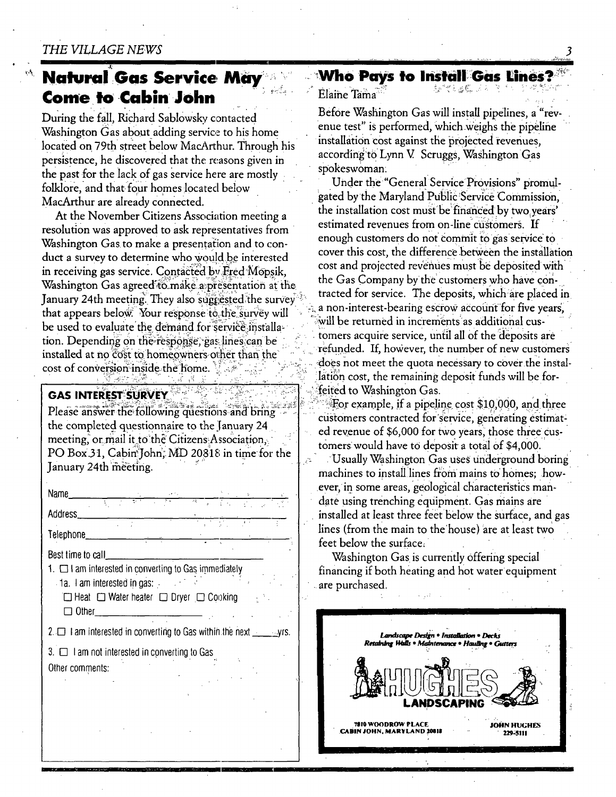# **Natural Gas Service May Come to Cabin John**

During the fall, Richard Sablowsky contacted Washington Gas about adding service to his home located on 79th street below MacArthur. Through his persistence, he discovered that the reasons given in the past for the lack of gas service here are mostly folklore, and that four homes located below MacArthur are already connected.

At the November Citizens Association meeting a resolution was approved to ask representatives from Washington Gas to make a presentation and to conduct a survey to determine who would be interested in receiving gas service. Contacted by Fred Mopsik. Washington Gas agreed to make a presentation at the January 24th meeting. They also suggested the survey that appears below. Your response to the survey will be used to evaluate the demand for service installation. Depending on the response, gas lines can be installed at no cost to homeowners other than the cost of conversion inside the home.  $\sim$  42. ではば

### **GAS INTEREST SURVEY**

Please answer the following questions and bring the completed questionnaire to the January 24 meeting, or mail it to the Citizens Association, PO Box 31, Cabin John. MD 20818 in time for the January 24th meeting.

Name **Address** Telephone

Best time to call

1. The am interested in converting to Gas immediately

1a. I am interested in gas:  $\Box$  Heat  $\Box$  Water heater  $\Box$  Dryer  $\Box$  Cooking  $\Box$  Other

2.  $\Box$  I am interested in converting to Gas within the next  $\Box$  yrs.

 $3. \Box$  I am not interested in converting to Gas

Other comments:

#### **Who Pays to Install Gas Lines?** 经付出法的 法国

Flaine Tama

Before Washington Gas will install pipelines, a "revenue test" is performed, which weighs the pipeline installation cost against the projected revenues. according to Lynn V. Scruggs, Washington Gas spokeswoman:

Under the "General Service Provisions" promulgated by the Maryland Public Service Commission. the installation cost must be financed by two years' estimated revenues from on-line customers. If enough customers do not commit to gas service to cover this cost, the difference between the installation cost and projected revenues must be deposited with the Gas Company by the customers who have contracted for service. The deposits, which are placed in a non-interest-bearing escrow account for five years, will be returned in increments as additional customers acquire service, until all of the deposits are refunded. If, however, the number of new customers does not meet the quota necessary to cover the installation cost, the remaining deposit funds will be forfeited to Washington Gas.

For example, if a pipeline cost \$10,000, and three customers contracted for service, generating estimated revenue of \$6,000 for two years, those three customers would have to deposit a total of \$4,000.

Usually Washington Gas uses underground boring machines to install lines from mains to homes; however, in some areas, geological characteristics mandate using trenching equipment. Gas mains are installed at least three feet below the surface, and gas lines (from the main to the house) are at least two feet below the surface.

Washington Gas is currently offering special financing if both heating and hot water equipment are purchased.

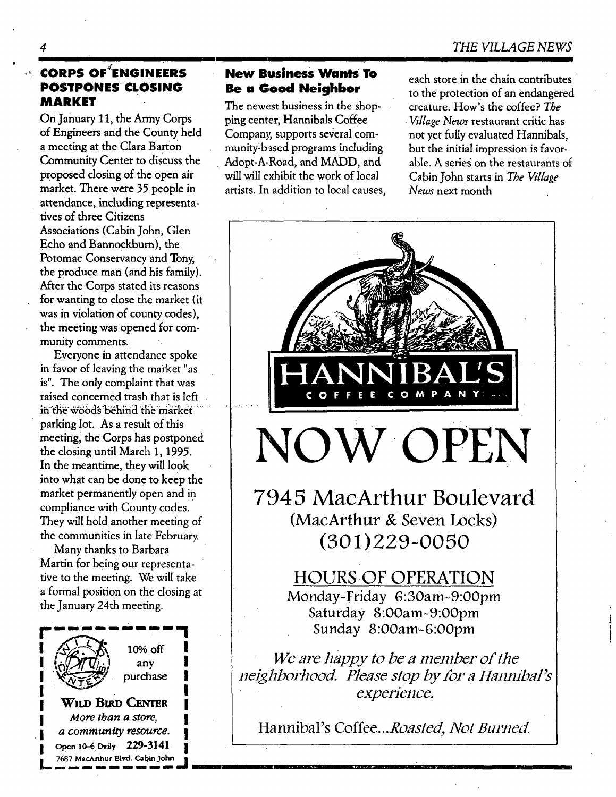# **POSTPONES CLOSING MARKET**

m

On January 11, the Army Corps of Engineers and the County held a meeting at the Clara Barton Community Center to discuss the proposed dosing of the open air market. There were 35 people in attendance, including representatives of three Citizens Associations (Cabin John, Glen Echo and Bannockburn), the Potomac Conservancy and Tony, the produce man (and his family). After the Corps stated its reasons for wanting to close the market (it was in violation of county codes), the meeting was opened for community comments.

Everyone in attendance spoke in favor of leaving the market "as is". The only complaint that was raised concerned trash that is left in the woods behind the market parking lot. As a result of this meeting, the Corps has postponed the closing until March 1, 1995. In the meantime, they will look into what can be done to keep the market permanently open and in compliance with County codes. They will hold another meeting of the communities in late February.

Many thanks to Barbara Martin for being our representative to the meeting. We will take a formal position on the closing at the January 24th meeting.



10% off any purchase

**WILD BIRD CENTER** *More than a store,*  $a$  community resource. Open 10-6 Daily 229-3141 7687 MacArthur Blvd. Cabin John

n, mm m imn m inu m m mu sun mu m m k

### **CORPS OF~ENGINEERS New Business** Wants To **Be a Good Neighbor**

The newest business in the shopping center, Hannibals Coffee Company, supports several community-based programs including Adopt-A-Road, and MADD, and will will exhibit the work of local artists. In addition to local causes, each store in the chain contributes to the protection of an endangered creature. How's the coffee? *The • Village News* restaurant critic has not yet fully evaluated Hannibals, but the initial impression is favorable. A series on the restaurants of Cabin John starts in *The Village News* next month



W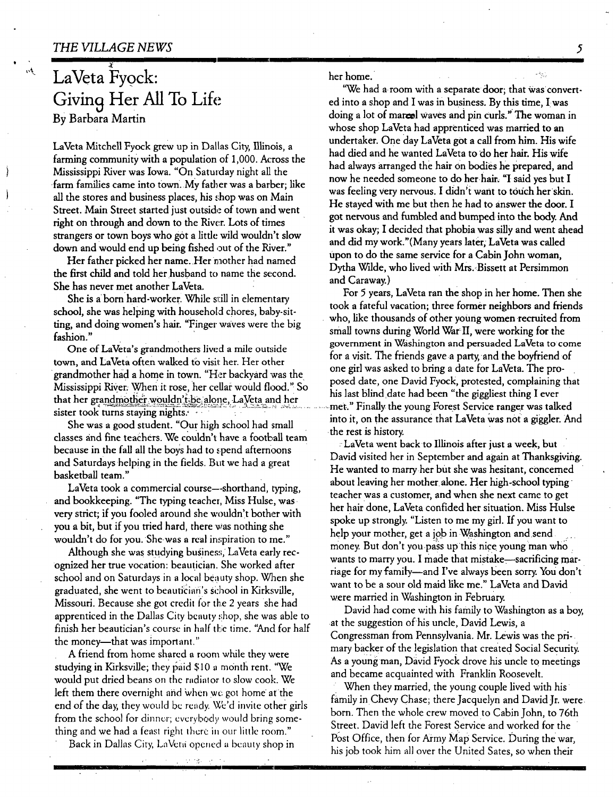t

# **LaVeta Fyock:**  Giving Her All To Life By Barbara Martin

LaVeta Mitchell Fyock grew up in Dallas City, Illinois, a farming community with a population of 1,000. Across the Mississippi River was Iowa. "On Satmday night all the farm families came into town. My father was a barber; like all the stores and business places, his shop was on Main Street. Main Street started just outside of town and went right on through and down to the River. Lots of times strangers or town boys who got a little wild wouldn't slow down and would end up being fished out of the River."

Her father picked her name. Her mother had named the first child and told her husband to name the second. She has never met another LaVeta.

She is a born hard-worker. While still in elementary school, she was helping with household chores, baby-sitting, and doing women's hair. "Finger waves were the big fashion."

One of LaVeta's grandmothers lived a mile outside town, and LaVeta often walked to visit her. Her other grandmother had a home in town. "Her backyard was the grandmomer had a home in town. The Backyard was the posed date, one David Fyock, protested, complaining that Mississippi River. When it rose, her cellar would flood." So his last blind date had been "the giggliest thing I that her grand mother wouldn't-be alone, LaVeta and her and iter grammonics woman reperators, La vera and net ... .... met." Finally the young Forest Service ranger was talked sister took turns staying nights.

She was a good student. "Our high school had small classes and fine teachers. We couldn't have a football team because in the fall all the boys had to spend afternoons and Saturdays helping in the fields. But we had a great basketball team."

LaVeta took a commercial course--shorthand, typing, and bookkeeping. "The typing teacher, Miss Hulse, was very strict; if you fooled around she wouldn't bother with you a bit, but if you tried hard, there was nothing she wouldn't do for you. She was a real inspiration to me."

Although she was studying business, LaVeta early recognized her true vocation: beautician. She worked after school and on Saturdays in a local beauty shop. When she graduated, she went to beautician's school in Kirksville, Missouri. Because she got credit for the 2 years she had apprenticed in the Dallas City beauty shop, she was able to finish her beautician's course in half the time. "And for half the money---that was important."

A friend from home shared a room wkile they were studying in Kirksville; they paid \$10 a month rent. "We would put dried beans on the radiator to slow cook. We left them there overnight and when we got home at the end of the day, they would be ready. We'd invite other girls from the school for dinner; everybody would bring something and we had a feast right there in our little room."

Back in Dallas City, LaVera opened a beauty shop in

 $\epsilon \ll \epsilon_{\rm gas}$ 

I

her home. .... ~:::

"We had a room with a separate door: that was converted into a shop and I was in business. By this time, I was doing a lot of marcel waves and pin curls." The woman in whose shop LaVeta had apprenticed was married to an undertaker. One day LaVeta got a call from him. His wife had died and he wanted LaVeta to do her hair. His wife had always arranged the hair on bodies he prepared, and now he needed someone to do herhair, "I said yes but I was feeling very nervous. I didn't want to touch her skin. He stayed with me but then he had to answer the door. I got nervous and fumbled and bumped into the body. And it was okay; I decided that phobia was silly and went ahead and did my work."(Many years later; LaVeta was called upon to do the same service for a Cabin John woman, Dytha Wilde, who lived with Mrs..Bissett at Persimmon and Caraway.)

For 5 years, LaVeta ran the shop in her home. Then she took a fateful vacation; three former neighbors and friends who, like thousands of other young women recruited from small towns during World War"II, were working for the government in Washington and persuaded LaVeta to come for a visit. The friends gave a party, and the boyfriend of one girl was asked to bring a date for LaVeta. The prointo it, on the assurance that LaVeta was not a giggler. And the rest is history.

: LaVeta went back to Illinois after just a week, but David visited her in September and again at Thanksgiving. He wanted to marry her but she was hesitant, concemed about leaving her mother alone. Her high-school typing teacher was a customer, and when she next came to get her hair done, LaVeta confided her situation. Miss Hulse spoke up strongly. "Listen to me my girl. If you want to help your mother, get a iob in Washington and send money. But don't you pass up this nice young man who wants to marry you. I made that mistake-sacrificing marriage for my family--and I've always been sorry. You don't want to be a sour old maid like me." LaVeta and David were married in Washington in February.

David had come with his family to Washington as a boy, at the suggestion of his uncle, David Lewis, a Congressman from Pennsylvania. Mr. Lewis was the primary backer of the legislation that created Social Security. As a young man, David Fyock drove his uncle to meetings and became acquainted with Franklin Roosevelt.

When they married, the young couple lived with his family in Chevy Chase; there Jacquelyn and David Jr. were. born. Then the whole crew moved to Cabin John, to 76th Street. David left the Forest Service and worked for the Post Office, then for Army Map Service. During the war, his job took him all over the United Sates, so when their

5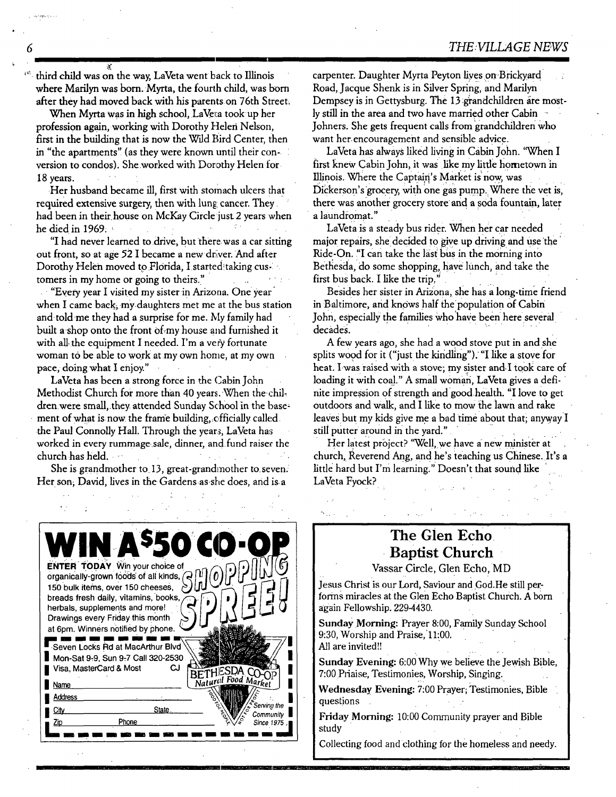third child was on the way, LaVeta went back to Illinois where Marilyn was born. Myrta, the fourth child, was born after they had moved back with his parents on 76th Street.

When Myrta was in high school, LaVeta took up her profession again, working with Dorothy Helen Nelson, first in the building that is now the Wdd Bird Center, then in "the apartments" (as they were known until their conversion to condos). She.worked with Dorothy Helen for 18 years.

Her husband became ill, first with stomach ulcers that required extensive surgery, then with lung cancer. They had been in their house on McKay Circle just 2 years when he died in 1969:

"I had never learned to drive, but there, was a car sitting out front, so at age 52 I became a new driver. And after Dorothy Helen moved to Florida, I started taking customers in my home or going to theirs."

"Eyery year I visited my sister in Arizona. One year" when I came back, my daughters met me at the bus station and told me they had a surprise for me. My family had built a shop onto the front of my house and furnished it with all the equipment I needed. I'm a very fortunate woman to be able to work at my own home, at my own pace, doing what I enjoy."

LaVeta has been a strong force in the Cabin John Methodist Church for more than 40 years. When the children.were small,.they, attended Sunday School in the base: ment of what is now the frame building, officially called • the Paul Connolly Hall. Through the years, LaVeta has worked in every rummage.sale, dinner, and.fund raiser the church has held.

She is grandmother to 13, great-grandmother to.seven. Her son; David, lives in the Gardens as she does, and is a

carpenter. Daughter Myrta Peyton lives on Brickyard Road, Jacque Shenk is in Silver Spring , and Marilyn Dempsey is in Gettysburg. The 13 grandchildren are mostly still in the area and two have married other Cabin - Johners. She gets frequent calls from grandchildren who want her encouragement and sensible advice.

LaVeta has always liked living in Cabin John. "When I first knew Cabin John, it was like my little hometown in Illinois. Where the Captain's Market is now, was Dickerson's grocery, with one gas pump. Where the vet is, there was another grocery store and a soda fountain, later a laundromat."

LaVeta is a steady bus rider, when her car needed major repairs, she decided to give up driving and use the Ride-On. "I can take the last bus in the morning into Bethesda, do some shopping, have lunch, and take the first bus back. I like the trip.'

Besides her sister in Arizona, she has a long-time friend in Baltimore, and knows half the population of Cabin John, especially the families who have been here several decades.

A few years ago, she had a wood stove put in and she splits wood for it ("just the kindling"). "I like a stove for heat. I was raised with a stove; my sister and I took care of loading it with coal." A small woman, LaVeta gives a definite impression of strength and good health. "I love to get outdoors and walk, and I like to mow the lawn and rake leaves but my kids give me a bad time about that; anyway I still putter around in the vard."

Her latest project? "Well, we have a new minister at church, Reverend Ang, and he's teaching us Chinese. It's a little hard but I'm learning." Doesn't that sound like LaVeta Fyock?



# **The Glen Echo Baptist Church**

Vassar Circle, Glen Echo, MD

Jesus Christ is our Lord, Saviour and God.He still performs miracles at the Glen Echo Baptist Church. A born again Fellowship. 229-4430.

Sunday Morning: Prayer 8:00, Family Sunday School  $9:30$ , Worship and Praise, 11:00. All are invited!!

Sunday Evening: 6:00 Why we believe the Jewish Bible. 7:00 Priaise, Testimonies, Worship, Singing.

Wednesday Evening: 7:00 Prayer; Testimonies, Bible questions

Friday Morning: 10:00 Community prayer and Bible study

@ ......... ml

Collecting food and clothing for the homeless and needy.

**6**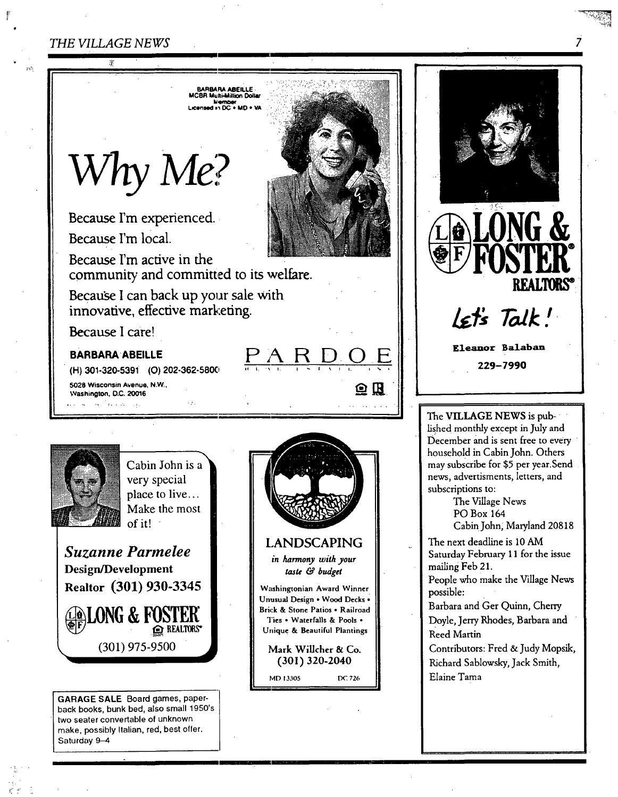**=n.AR. A.E,tUE.**  MCBR Multi-Millmn Dollar Licensed in DC + MD + VA.

**U'hy Me.** 

Because I'm experienced.

Because I'm local.

Because I'm active in the community and committed to its welfare.

 $\bar{\mathcal{L}}$ 

Because I can back up your sale with innovative, effective marketing.

Because I care!

### BARBARA ABEILLE

**(H) 301-320-5391 (O)** 202.362-5800

5028 Wisconsin Avenue, N.W., Washington. D.C. 20016 لويا المراجعة أناجع المحالي



• 22 . !.

**Cabin John is a** very special place to live... Make the most of it!  $\cdot$ 

*Suzanne Parmelee |*  Design/Development **Realtor** (301) 930-3345



GARAGE SALE Board games, paperback books, bunk bed, also small 1950's two seater convertable of unknown make, possibly Italian, red, best offer. Saturday 9-4



<u>PARDOE</u>

i. i ~. t

鱼瓜



The VILLAGE NEWS is published monthly except in July and December and is sent free to every household in Cabin John. Others may subscribe for \$5 per year.Send news, advertisments, letters, and subscriptions to:

The Village News PO Box 164 Cabin John, Maryland 20818

The next deadline is 10 AM Saturday February 11 for the issue mailing Feb 21.

People who make the Village News possible:

Barbara and Ger Quinn, Cherry Doyle, Jerry Rhodes, Barbara and Reed Martin

Contributors: Fred & Judy Mopsik, Richard Sablowsky, Jack Smith, Elaine Tama